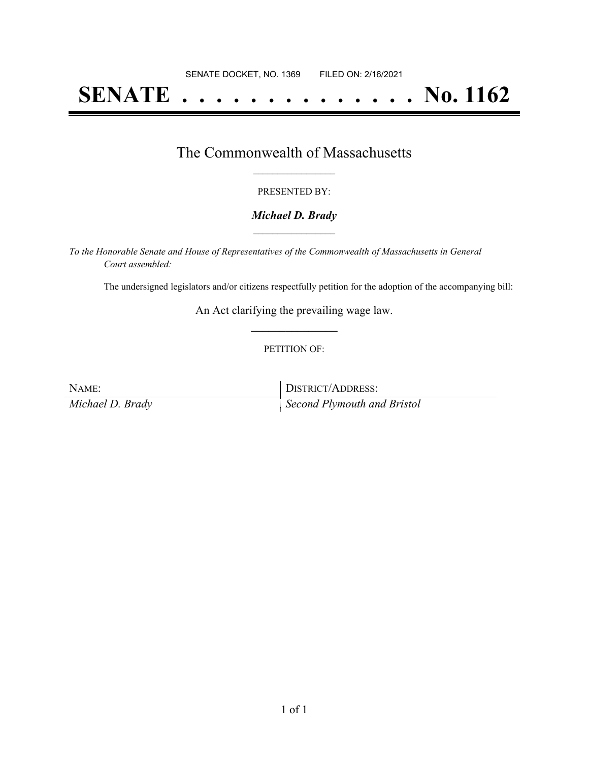# **SENATE . . . . . . . . . . . . . . No. 1162**

### The Commonwealth of Massachusetts **\_\_\_\_\_\_\_\_\_\_\_\_\_\_\_\_\_**

#### PRESENTED BY:

#### *Michael D. Brady* **\_\_\_\_\_\_\_\_\_\_\_\_\_\_\_\_\_**

*To the Honorable Senate and House of Representatives of the Commonwealth of Massachusetts in General Court assembled:*

The undersigned legislators and/or citizens respectfully petition for the adoption of the accompanying bill:

An Act clarifying the prevailing wage law. **\_\_\_\_\_\_\_\_\_\_\_\_\_\_\_**

#### PETITION OF:

NAME: DISTRICT/ADDRESS:

*Michael D. Brady Second Plymouth and Bristol*